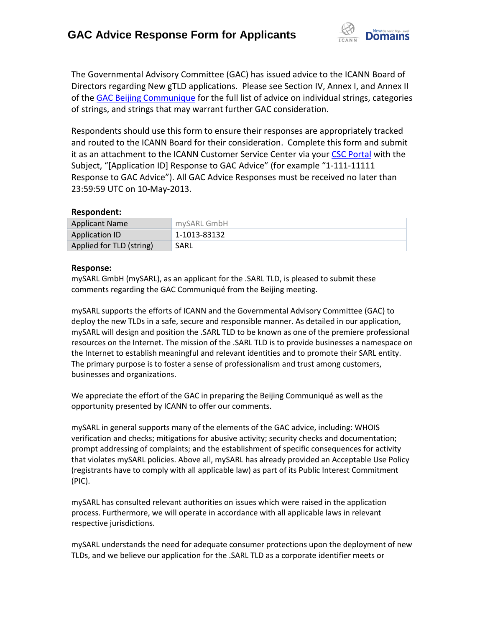

The Governmental Advisory Committee (GAC) has issued advice to the ICANN Board of Directors regarding New gTLD applications. Please see Section IV, Annex I, and Annex II of th[e GAC Beijing Communique](http://www.icann.org/en/news/correspondence/gac-to-board-18apr13-en.pdf) for the full list of advice on individual strings, categories of strings, and strings that may warrant further GAC consideration.

Respondents should use this form to ensure their responses are appropriately tracked and routed to the ICANN Board for their consideration. Complete this form and submit it as an attachment to the ICANN Customer Service Center via your CSC [Portal](https://myicann.secure.force.com/) with the Subject, "[Application ID] Response to GAC Advice" (for example "1-111-11111 Response to GAC Advice"). All GAC Advice Responses must be received no later than 23:59:59 UTC on 10-May-2013.

## **Respondent:**

| <b>Applicant Name</b>    | mySARL GmbH  |
|--------------------------|--------------|
| Application ID           | 1-1013-83132 |
| Applied for TLD (string) | SARL         |

## **Response:**

mySARL GmbH (mySARL), as an applicant for the .SARL TLD, is pleased to submit these comments regarding the GAC Communiqué from the Beijing meeting.

mySARL supports the efforts of ICANN and the Governmental Advisory Committee (GAC) to deploy the new TLDs in a safe, secure and responsible manner. As detailed in our application, mySARL will design and position the .SARL TLD to be known as one of the premiere professional resources on the Internet. The mission of the .SARL TLD is to provide businesses a namespace on the Internet to establish meaningful and relevant identities and to promote their SARL entity. The primary purpose is to foster a sense of professionalism and trust among customers, businesses and organizations.

We appreciate the effort of the GAC in preparing the Beijing Communiqué as well as the opportunity presented by ICANN to offer our comments.

mySARL in general supports many of the elements of the GAC advice, including: WHOIS verification and checks; mitigations for abusive activity; security checks and documentation; prompt addressing of complaints; and the establishment of specific consequences for activity that violates mySARL policies. Above all, mySARL has already provided an Acceptable Use Policy (registrants have to comply with all applicable law) as part of its Public Interest Commitment (PIC).

mySARL has consulted relevant authorities on issues which were raised in the application process. Furthermore, we will operate in accordance with all applicable laws in relevant respective jurisdictions.

mySARL understands the need for adequate consumer protections upon the deployment of new TLDs, and we believe our application for the .SARL TLD as a corporate identifier meets or